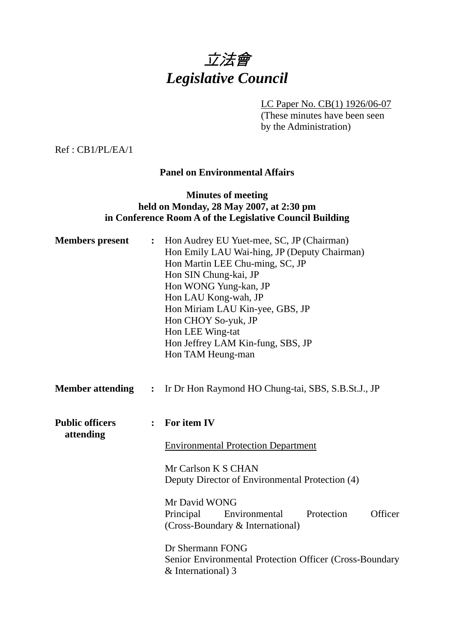# 立法會 *Legislative Council*

LC Paper No. CB(1) 1926/06-07

(These minutes have been seen by the Administration)

Ref : CB1/PL/EA/1

## **Panel on Environmental Affairs**

# **Minutes of meeting held on Monday, 28 May 2007, at 2:30 pm in Conference Room A of the Legislative Council Building**

| <b>Members</b> present              |                | Hon Audrey EU Yuet-mee, SC, JP (Chairman)<br>Hon Emily LAU Wai-hing, JP (Deputy Chairman)<br>Hon Martin LEE Chu-ming, SC, JP<br>Hon SIN Chung-kai, JP<br>Hon WONG Yung-kan, JP<br>Hon LAU Kong-wah, JP<br>Hon Miriam LAU Kin-yee, GBS, JP<br>Hon CHOY So-yuk, JP<br>Hon LEE Wing-tat<br>Hon Jeffrey LAM Kin-fung, SBS, JP<br>Hon TAM Heung-man |  |  |
|-------------------------------------|----------------|------------------------------------------------------------------------------------------------------------------------------------------------------------------------------------------------------------------------------------------------------------------------------------------------------------------------------------------------|--|--|
| <b>Member attending : :</b>         |                | Ir Dr Hon Raymond HO Chung-tai, SBS, S.B.St.J., JP                                                                                                                                                                                                                                                                                             |  |  |
| <b>Public officers</b><br>attending | $\ddot{\cdot}$ | For item IV                                                                                                                                                                                                                                                                                                                                    |  |  |
|                                     |                | <b>Environmental Protection Department</b>                                                                                                                                                                                                                                                                                                     |  |  |
|                                     |                | Mr Carlson K S CHAN<br>Deputy Director of Environmental Protection (4)                                                                                                                                                                                                                                                                         |  |  |
|                                     |                |                                                                                                                                                                                                                                                                                                                                                |  |  |
|                                     |                | Mr David WONG<br>Officer<br>Principal<br>Protection<br>Environmental                                                                                                                                                                                                                                                                           |  |  |
|                                     |                | (Cross-Boundary & International)                                                                                                                                                                                                                                                                                                               |  |  |
|                                     |                | Dr Shermann FONG<br>Senior Environmental Protection Officer (Cross-Boundary<br>& International) 3                                                                                                                                                                                                                                              |  |  |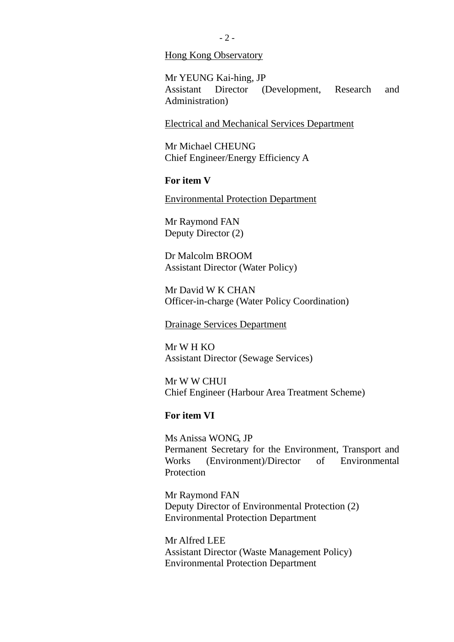#### Hong Kong Observatory

Mr YEUNG Kai-hing, JP Assistant Director (Development, Research and Administration)

#### Electrical and Mechanical Services Department

Mr Michael CHEUNG Chief Engineer/Energy Efficiency A

#### **For item V**

Environmental Protection Department

Mr Raymond FAN Deputy Director (2)

Dr Malcolm BROOM Assistant Director (Water Policy)

Mr David W K CHAN Officer-in-charge (Water Policy Coordination)

#### Drainage Services Department

Mr W H KO Assistant Director (Sewage Services)

Mr W W CHUI Chief Engineer (Harbour Area Treatment Scheme)

#### **For item VI**

Ms Anissa WONG, JP Permanent Secretary for the Environment, Transport and Works (Environment)/Director of Environmental **Protection** 

Mr Raymond FAN Deputy Director of Environmental Protection (2) Environmental Protection Department

Mr Alfred LEE Assistant Director (Waste Management Policy) Environmental Protection Department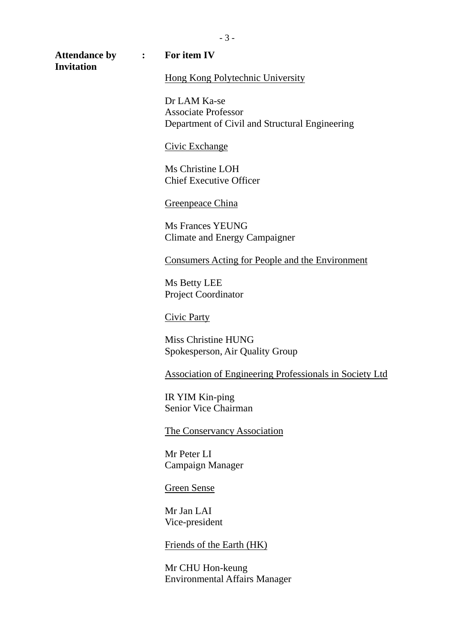### **Attendance by : For item IV**

**Invitation** 

# Hong Kong Polytechnic University

Dr LAM Ka-se Associate Professor Department of Civil and Structural Engineering

#### Civic Exchange

Ms Christine LOH Chief Executive Officer

#### Greenpeace China

Ms Frances YEUNG Climate and Energy Campaigner

#### Consumers Acting for People and the Environment

Ms Betty LEE Project Coordinator

Civic Party

Miss Christine HUNG Spokesperson, Air Quality Group

Association of Engineering Professionals in Society Ltd

IR YIM Kin-ping Senior Vice Chairman

#### The Conservancy Association

Mr Peter LI Campaign Manager

#### Green Sense

Mr Jan LAI Vice-president

#### Friends of the Earth (HK)

Mr CHU Hon-keung Environmental Affairs Manager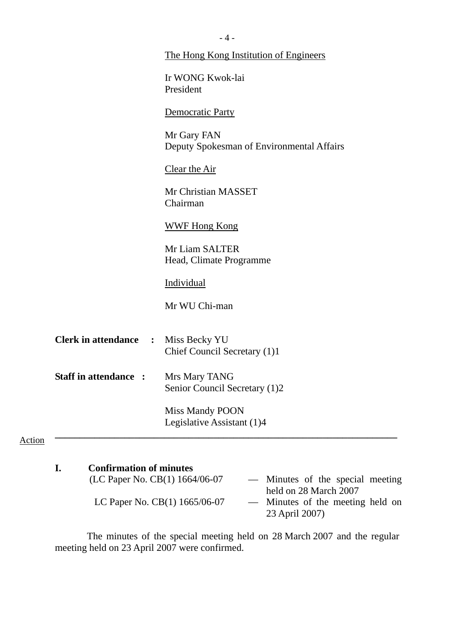|                              | The Hong Kong Institution of Engineers                   |
|------------------------------|----------------------------------------------------------|
|                              | Ir WONG Kwok-lai<br>President                            |
|                              | Democratic Party                                         |
|                              | Mr Gary FAN<br>Deputy Spokesman of Environmental Affairs |
|                              | Clear the Air                                            |
|                              | Mr Christian MASSET<br>Chairman                          |
|                              | <b>WWF Hong Kong</b>                                     |
|                              | Mr Liam SALTER<br>Head, Climate Programme                |
|                              | Individual                                               |
|                              | Mr WU Chi-man                                            |
| <b>Clerk in attendance :</b> | Miss Becky YU<br>Chief Council Secretary (1)1            |
| <b>Staff in attendance :</b> | Mrs Mary TANG<br>Senior Council Secretary (1)2           |
|                              | Miss Mandy POON<br>Legislative Assistant (1)4            |

| <b>Confirmation of minutes</b>  | - Minutes of the special meeting |
|---------------------------------|----------------------------------|
| ı.                              | held on 28 March 2007            |
| (LC Paper No. CB(1) 1664/06-07  | — Minutes of the meeting held on |
| LC Paper No. $CB(1)$ 1665/06-07 | 23 April 2007)                   |

 The minutes of the special meeting held on 28 March 2007 and the regular meeting held on 23 April 2007 were confirmed.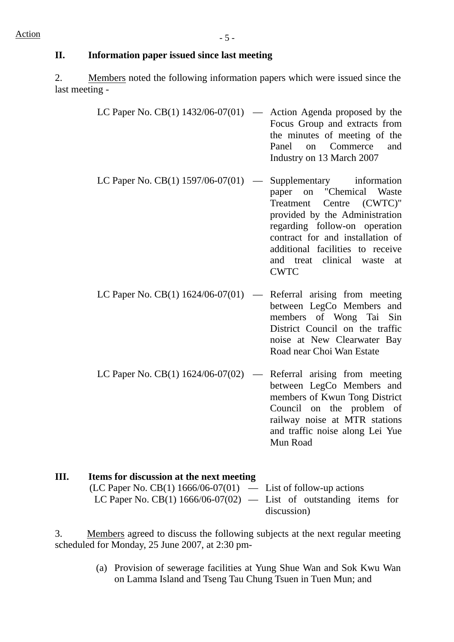# **II. Information paper issued since last meeting**

2. Members noted the following information papers which were issued since the last meeting -

| LC Paper No. CB(1) $1432/06-07(01)$ — Action Agenda proposed by the |                               |
|---------------------------------------------------------------------|-------------------------------|
|                                                                     | Focus Group and extracts from |
|                                                                     | the minutes of meeting of the |
|                                                                     | Panel on Commerce and         |
|                                                                     | Industry on 13 March 2007     |
|                                                                     |                               |

- LC Paper No.  $CB(1)$  1597/06-07(01) Supplementary information paper on "Chemical Waste Treatment Centre (CWTC)" provided by the Administration regarding follow-on operation contract for and installation of additional facilities to receive and treat clinical waste at CWTC
- LC Paper No.  $CB(1)$  1624/06-07(01) Referral arising from meeting between LegCo Members and members of Wong Tai Sin District Council on the traffic noise at New Clearwater Bay Road near Choi Wan Estate
- LC Paper No.  $CB(1)$  1624/06-07(02) Referral arising from meeting between LegCo Members and members of Kwun Tong District Council on the problem of railway noise at MTR stations and traffic noise along Lei Yue Mun Road

| Ш. | Items for discussion at the next meeting                            |             |
|----|---------------------------------------------------------------------|-------------|
|    | $(LC$ Paper No. CB(1) 1666/06-07(01) — List of follow-up actions    |             |
|    | LC Paper No. CB(1) $1666/06-07(02)$ — List of outstanding items for |             |
|    |                                                                     | discussion) |

3. Members agreed to discuss the following subjects at the next regular meeting scheduled for Monday, 25 June 2007, at 2:30 pm-

> (a) Provision of sewerage facilities at Yung Shue Wan and Sok Kwu Wan on Lamma Island and Tseng Tau Chung Tsuen in Tuen Mun; and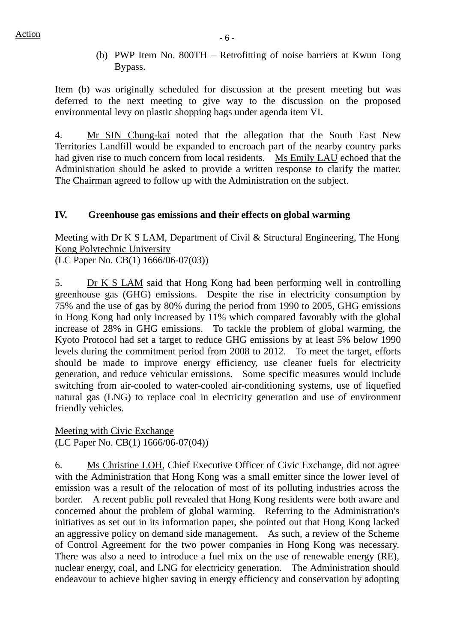(b) PWP Item No. 800TH – Retrofitting of noise barriers at Kwun Tong Bypass.

Item (b) was originally scheduled for discussion at the present meeting but was deferred to the next meeting to give way to the discussion on the proposed environmental levy on plastic shopping bags under agenda item VI.

4. Mr SIN Chung-kai noted that the allegation that the South East New Territories Landfill would be expanded to encroach part of the nearby country parks had given rise to much concern from local residents. Ms Emily LAU echoed that the Administration should be asked to provide a written response to clarify the matter. The Chairman agreed to follow up with the Administration on the subject.

# **IV. Greenhouse gas emissions and their effects on global warming**

Meeting with Dr K S LAM, Department of Civil & Structural Engineering, The Hong Kong Polytechnic University (LC Paper No. CB(1) 1666/06-07(03))

5. Dr K S LAM said that Hong Kong had been performing well in controlling greenhouse gas (GHG) emissions. Despite the rise in electricity consumption by 75% and the use of gas by 80% during the period from 1990 to 2005, GHG emissions in Hong Kong had only increased by 11% which compared favorably with the global increase of 28% in GHG emissions. To tackle the problem of global warming, the Kyoto Protocol had set a target to reduce GHG emissions by at least 5% below 1990 levels during the commitment period from 2008 to 2012. To meet the target, efforts should be made to improve energy efficiency, use cleaner fuels for electricity generation, and reduce vehicular emissions. Some specific measures would include switching from air-cooled to water-cooled air-conditioning systems, use of liquefied natural gas (LNG) to replace coal in electricity generation and use of environment friendly vehicles.

Meeting with Civic Exchange (LC Paper No. CB(1) 1666/06-07(04))

6. Ms Christine LOH, Chief Executive Officer of Civic Exchange, did not agree with the Administration that Hong Kong was a small emitter since the lower level of emission was a result of the relocation of most of its polluting industries across the border. A recent public poll revealed that Hong Kong residents were both aware and concerned about the problem of global warming. Referring to the Administration's initiatives as set out in its information paper, she pointed out that Hong Kong lacked an aggressive policy on demand side management. As such, a review of the Scheme of Control Agreement for the two power companies in Hong Kong was necessary. There was also a need to introduce a fuel mix on the use of renewable energy (RE), nuclear energy, coal, and LNG for electricity generation. The Administration should endeavour to achieve higher saving in energy efficiency and conservation by adopting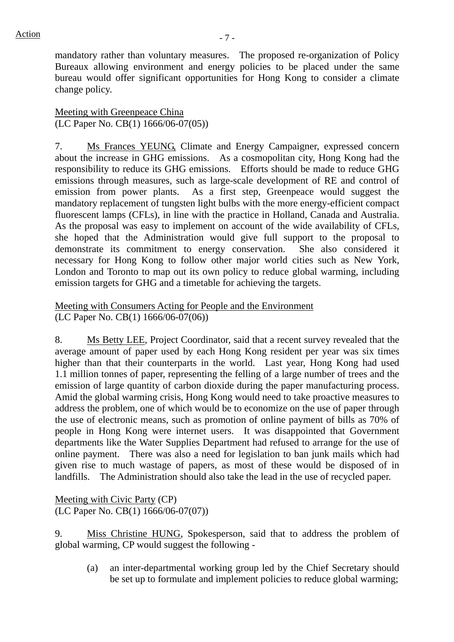mandatory rather than voluntary measures. The proposed re-organization of Policy Bureaux allowing environment and energy policies to be placed under the same bureau would offer significant opportunities for Hong Kong to consider a climate change policy.

Meeting with Greenpeace China (LC Paper No. CB(1) 1666/06-07(05))

7. Ms Frances YEUNG, Climate and Energy Campaigner, expressed concern about the increase in GHG emissions. As a cosmopolitan city, Hong Kong had the responsibility to reduce its GHG emissions. Efforts should be made to reduce GHG emissions through measures, such as large-scale development of RE and control of emission from power plants. As a first step, Greenpeace would suggest the mandatory replacement of tungsten light bulbs with the more energy-efficient compact fluorescent lamps (CFLs), in line with the practice in Holland, Canada and Australia. As the proposal was easy to implement on account of the wide availability of CFLs, she hoped that the Administration would give full support to the proposal to demonstrate its commitment to energy conservation. She also considered it necessary for Hong Kong to follow other major world cities such as New York, London and Toronto to map out its own policy to reduce global warming, including emission targets for GHG and a timetable for achieving the targets.

Meeting with Consumers Acting for People and the Environment (LC Paper No. CB(1) 1666/06-07(06))

8. Ms Betty LEE, Project Coordinator, said that a recent survey revealed that the average amount of paper used by each Hong Kong resident per year was six times higher than that their counterparts in the world. Last year, Hong Kong had used 1.1 million tonnes of paper, representing the felling of a large number of trees and the emission of large quantity of carbon dioxide during the paper manufacturing process. Amid the global warming crisis, Hong Kong would need to take proactive measures to address the problem, one of which would be to economize on the use of paper through the use of electronic means, such as promotion of online payment of bills as 70% of people in Hong Kong were internet users. It was disappointed that Government departments like the Water Supplies Department had refused to arrange for the use of online payment. There was also a need for legislation to ban junk mails which had given rise to much wastage of papers, as most of these would be disposed of in landfills. The Administration should also take the lead in the use of recycled paper.

Meeting with Civic Party (CP) (LC Paper No. CB(1) 1666/06-07(07))

9. Miss Christine HUNG, Spokesperson, said that to address the problem of global warming, CP would suggest the following -

(a) an inter-departmental working group led by the Chief Secretary should be set up to formulate and implement policies to reduce global warming;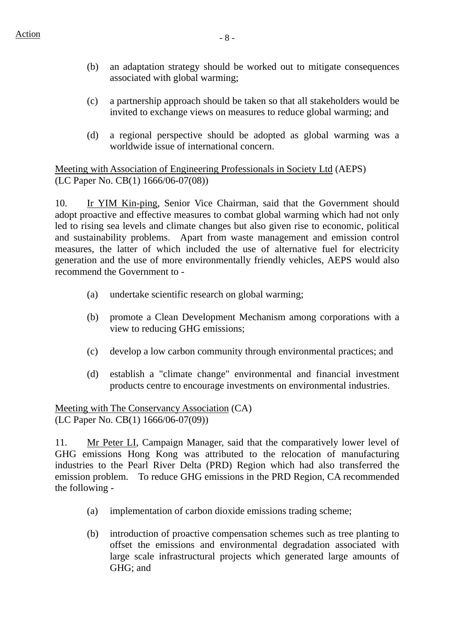- (b) an adaptation strategy should be worked out to mitigate consequences associated with global warming;
- (c) a partnership approach should be taken so that all stakeholders would be invited to exchange views on measures to reduce global warming; and
- (d) a regional perspective should be adopted as global warming was a worldwide issue of international concern.

Meeting with Association of Engineering Professionals in Society Ltd (AEPS) (LC Paper No. CB(1) 1666/06-07(08))

10. Ir YIM Kin-ping, Senior Vice Chairman, said that the Government should adopt proactive and effective measures to combat global warming which had not only led to rising sea levels and climate changes but also given rise to economic, political and sustainability problems. Apart from waste management and emission control measures, the latter of which included the use of alternative fuel for electricity generation and the use of more environmentally friendly vehicles, AEPS would also recommend the Government to -

- (a) undertake scientific research on global warming;
- (b) promote a Clean Development Mechanism among corporations with a view to reducing GHG emissions;
- (c) develop a low carbon community through environmental practices; and
- (d) establish a "climate change" environmental and financial investment products centre to encourage investments on environmental industries.

Meeting with The Conservancy Association (CA) (LC Paper No. CB(1) 1666/06-07(09))

11. Mr Peter LI, Campaign Manager, said that the comparatively lower level of GHG emissions Hong Kong was attributed to the relocation of manufacturing industries to the Pearl River Delta (PRD) Region which had also transferred the emission problem. To reduce GHG emissions in the PRD Region, CA recommended the following -

- (a) implementation of carbon dioxide emissions trading scheme;
- (b) introduction of proactive compensation schemes such as tree planting to offset the emissions and environmental degradation associated with large scale infrastructural projects which generated large amounts of GHG; and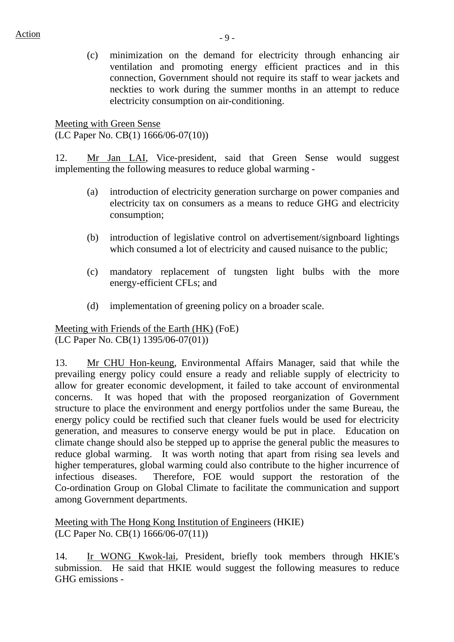(c) minimization on the demand for electricity through enhancing air ventilation and promoting energy efficient practices and in this connection, Government should not require its staff to wear jackets and neckties to work during the summer months in an attempt to reduce electricity consumption on air-conditioning.

Meeting with Green Sense (LC Paper No. CB(1) 1666/06-07(10))

12. Mr Jan LAI, Vice-president, said that Green Sense would suggest implementing the following measures to reduce global warming -

- (a) introduction of electricity generation surcharge on power companies and electricity tax on consumers as a means to reduce GHG and electricity consumption;
- (b) introduction of legislative control on advertisement/signboard lightings which consumed a lot of electricity and caused nuisance to the public;
- (c) mandatory replacement of tungsten light bulbs with the more energy-efficient CFLs; and
- (d) implementation of greening policy on a broader scale.

Meeting with Friends of the Earth (HK) (FoE) (LC Paper No. CB(1) 1395/06-07(01))

13. Mr CHU Hon-keung, Environmental Affairs Manager, said that while the prevailing energy policy could ensure a ready and reliable supply of electricity to allow for greater economic development, it failed to take account of environmental concerns. It was hoped that with the proposed reorganization of Government structure to place the environment and energy portfolios under the same Bureau, the energy policy could be rectified such that cleaner fuels would be used for electricity generation, and measures to conserve energy would be put in place. Education on climate change should also be stepped up to apprise the general public the measures to reduce global warming. It was worth noting that apart from rising sea levels and higher temperatures, global warming could also contribute to the higher incurrence of infectious diseases. Therefore, FOE would support the restoration of the Co-ordination Group on Global Climate to facilitate the communication and support among Government departments.

Meeting with The Hong Kong Institution of Engineers (HKIE) (LC Paper No. CB(1) 1666/06-07(11))

14. Ir WONG Kwok-lai, President, briefly took members through HKIE's submission. He said that HKIE would suggest the following measures to reduce GHG emissions -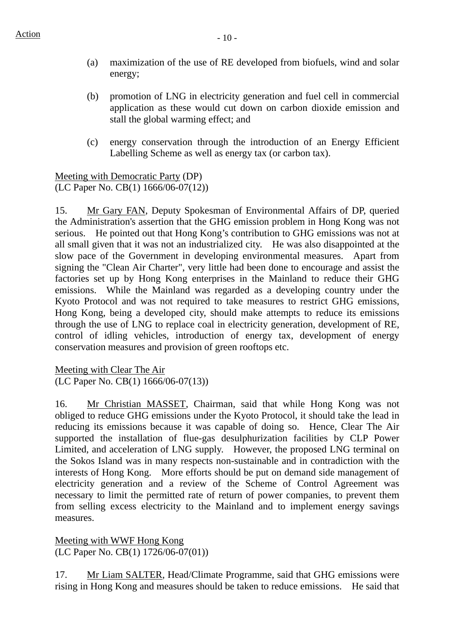- (a) maximization of the use of RE developed from biofuels, wind and solar energy;
- (b) promotion of LNG in electricity generation and fuel cell in commercial application as these would cut down on carbon dioxide emission and stall the global warming effect; and
- (c) energy conservation through the introduction of an Energy Efficient Labelling Scheme as well as energy tax (or carbon tax).

Meeting with Democratic Party (DP) (LC Paper No. CB(1) 1666/06-07(12))

15. Mr Gary FAN, Deputy Spokesman of Environmental Affairs of DP, queried the Administration's assertion that the GHG emission problem in Hong Kong was not serious. He pointed out that Hong Kong's contribution to GHG emissions was not at all small given that it was not an industrialized city. He was also disappointed at the slow pace of the Government in developing environmental measures. Apart from signing the "Clean Air Charter", very little had been done to encourage and assist the factories set up by Hong Kong enterprises in the Mainland to reduce their GHG emissions. While the Mainland was regarded as a developing country under the Kyoto Protocol and was not required to take measures to restrict GHG emissions, Hong Kong, being a developed city, should make attempts to reduce its emissions through the use of LNG to replace coal in electricity generation, development of RE, control of idling vehicles, introduction of energy tax, development of energy conservation measures and provision of green rooftops etc.

Meeting with Clear The Air (LC Paper No. CB(1) 1666/06-07(13))

16. Mr Christian MASSET, Chairman, said that while Hong Kong was not obliged to reduce GHG emissions under the Kyoto Protocol, it should take the lead in reducing its emissions because it was capable of doing so. Hence, Clear The Air supported the installation of flue-gas desulphurization facilities by CLP Power Limited, and acceleration of LNG supply. However, the proposed LNG terminal on the Sokos Island was in many respects non-sustainable and in contradiction with the interests of Hong Kong. More efforts should be put on demand side management of electricity generation and a review of the Scheme of Control Agreement was necessary to limit the permitted rate of return of power companies, to prevent them from selling excess electricity to the Mainland and to implement energy savings measures.

Meeting with WWF Hong Kong (LC Paper No. CB(1) 1726/06-07(01))

17. Mr Liam SALTER, Head/Climate Programme, said that GHG emissions were rising in Hong Kong and measures should be taken to reduce emissions. He said that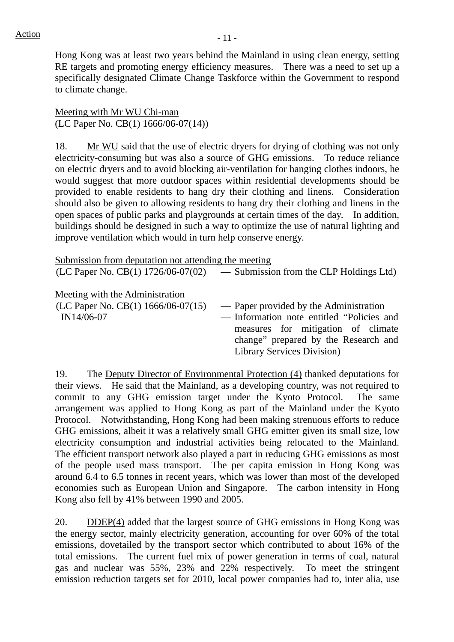Hong Kong was at least two years behind the Mainland in using clean energy, setting RE targets and promoting energy efficiency measures. There was a need to set up a specifically designated Climate Change Taskforce within the Government to respond to climate change.

Meeting with Mr WU Chi-man (LC Paper No. CB(1) 1666/06-07(14))

18. Mr WU said that the use of electric dryers for drying of clothing was not only electricity-consuming but was also a source of GHG emissions. To reduce reliance on electric dryers and to avoid blocking air-ventilation for hanging clothes indoors, he would suggest that more outdoor spaces within residential developments should be provided to enable residents to hang dry their clothing and linens. Consideration should also be given to allowing residents to hang dry their clothing and linens in the open spaces of public parks and playgrounds at certain times of the day. In addition, buildings should be designed in such a way to optimize the use of natural lighting and improve ventilation which would in turn help conserve energy.

| Submission from deputation not attending the meeting                                  | $(LC$ Paper No. $CB(1)$ 1726/06-07(02) — Submission from the CLP Holdings Ltd)                                                                                                                          |
|---------------------------------------------------------------------------------------|---------------------------------------------------------------------------------------------------------------------------------------------------------------------------------------------------------|
| Meeting with the Administration<br>(LC Paper No. CB(1) $1666/06-07(15)$<br>IN14/06-07 | — Paper provided by the Administration<br>- Information note entitled "Policies and<br>measures for mitigation of climate<br>change" prepared by the Research and<br><b>Library Services Division</b> ) |

19. The Deputy Director of Environmental Protection (4) thanked deputations for their views. He said that the Mainland, as a developing country, was not required to commit to any GHG emission target under the Kyoto Protocol. The same arrangement was applied to Hong Kong as part of the Mainland under the Kyoto Protocol. Notwithstanding, Hong Kong had been making strenuous efforts to reduce GHG emissions, albeit it was a relatively small GHG emitter given its small size, low electricity consumption and industrial activities being relocated to the Mainland. The efficient transport network also played a part in reducing GHG emissions as most of the people used mass transport. The per capita emission in Hong Kong was around 6.4 to 6.5 tonnes in recent years, which was lower than most of the developed economies such as European Union and Singapore. The carbon intensity in Hong Kong also fell by 41% between 1990 and 2005.

20. DDEP(4) added that the largest source of GHG emissions in Hong Kong was the energy sector, mainly electricity generation, accounting for over 60% of the total emissions, dovetailed by the transport sector which contributed to about 16% of the total emissions. The current fuel mix of power generation in terms of coal, natural gas and nuclear was 55%, 23% and 22% respectively. To meet the stringent emission reduction targets set for 2010, local power companies had to, inter alia, use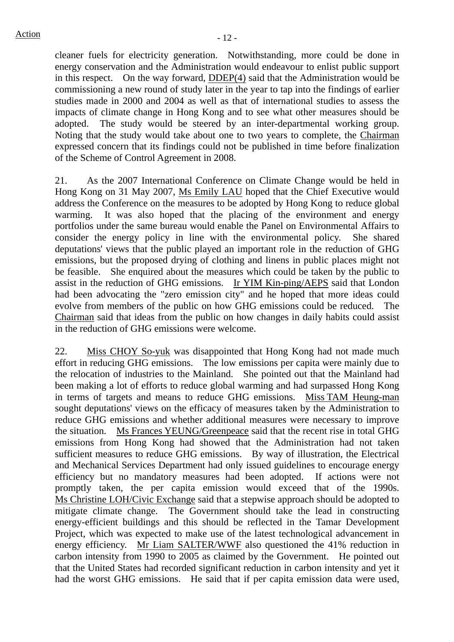cleaner fuels for electricity generation. Notwithstanding, more could be done in energy conservation and the Administration would endeavour to enlist public support in this respect. On the way forward, DDEP(4) said that the Administration would be commissioning a new round of study later in the year to tap into the findings of earlier studies made in 2000 and 2004 as well as that of international studies to assess the impacts of climate change in Hong Kong and to see what other measures should be adopted. The study would be steered by an inter-departmental working group. Noting that the study would take about one to two years to complete, the Chairman expressed concern that its findings could not be published in time before finalization of the Scheme of Control Agreement in 2008.

21. As the 2007 International Conference on Climate Change would be held in Hong Kong on 31 May 2007, Ms Emily LAU hoped that the Chief Executive would address the Conference on the measures to be adopted by Hong Kong to reduce global warming. It was also hoped that the placing of the environment and energy portfolios under the same bureau would enable the Panel on Environmental Affairs to consider the energy policy in line with the environmental policy. She shared deputations' views that the public played an important role in the reduction of GHG emissions, but the proposed drying of clothing and linens in public places might not be feasible. She enquired about the measures which could be taken by the public to assist in the reduction of GHG emissions. Ir YIM Kin-ping/AEPS said that London had been advocating the "zero emission city" and he hoped that more ideas could evolve from members of the public on how GHG emissions could be reduced. Chairman said that ideas from the public on how changes in daily habits could assist in the reduction of GHG emissions were welcome.

22. Miss CHOY So-yuk was disappointed that Hong Kong had not made much effort in reducing GHG emissions. The low emissions per capita were mainly due to the relocation of industries to the Mainland. She pointed out that the Mainland had been making a lot of efforts to reduce global warming and had surpassed Hong Kong in terms of targets and means to reduce GHG emissions. Miss TAM Heung-man sought deputations' views on the efficacy of measures taken by the Administration to reduce GHG emissions and whether additional measures were necessary to improve the situation. Ms Frances YEUNG/Greenpeace said that the recent rise in total GHG emissions from Hong Kong had showed that the Administration had not taken sufficient measures to reduce GHG emissions. By way of illustration, the Electrical and Mechanical Services Department had only issued guidelines to encourage energy efficiency but no mandatory measures had been adopted. If actions were not promptly taken, the per capita emission would exceed that of the 1990s. Ms Christine LOH/Civic Exchange said that a stepwise approach should be adopted to mitigate climate change. The Government should take the lead in constructing energy-efficient buildings and this should be reflected in the Tamar Development Project, which was expected to make use of the latest technological advancement in energy efficiency. Mr Liam SALTER/WWF also questioned the 41% reduction in carbon intensity from 1990 to 2005 as claimed by the Government. He pointed out that the United States had recorded significant reduction in carbon intensity and yet it had the worst GHG emissions. He said that if per capita emission data were used,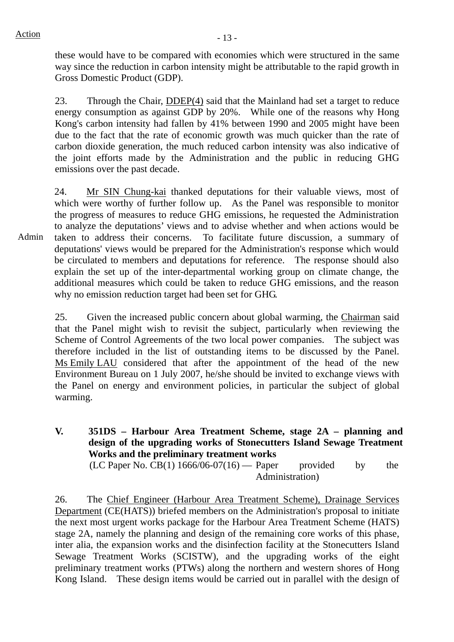these would have to be compared with economies which were structured in the same way since the reduction in carbon intensity might be attributable to the rapid growth in Gross Domestic Product (GDP).

23. Through the Chair, DDEP(4) said that the Mainland had set a target to reduce energy consumption as against GDP by 20%. While one of the reasons why Hong Kong's carbon intensity had fallen by 41% between 1990 and 2005 might have been due to the fact that the rate of economic growth was much quicker than the rate of carbon dioxide generation, the much reduced carbon intensity was also indicative of the joint efforts made by the Administration and the public in reducing GHG emissions over the past decade.

Admin 24. Mr SIN Chung-kai thanked deputations for their valuable views, most of which were worthy of further follow up. As the Panel was responsible to monitor the progress of measures to reduce GHG emissions, he requested the Administration to analyze the deputations' views and to advise whether and when actions would be taken to address their concerns. To facilitate future discussion, a summary of deputations' views would be prepared for the Administration's response which would be circulated to members and deputations for reference. The response should also explain the set up of the inter-departmental working group on climate change, the additional measures which could be taken to reduce GHG emissions, and the reason why no emission reduction target had been set for GHG.

25. Given the increased public concern about global warming, the Chairman said that the Panel might wish to revisit the subject, particularly when reviewing the Scheme of Control Agreements of the two local power companies. The subject was therefore included in the list of outstanding items to be discussed by the Panel. Ms Emily LAU considered that after the appointment of the head of the new Environment Bureau on 1 July 2007, he/she should be invited to exchange views with the Panel on energy and environment policies, in particular the subject of global warming.

**V. 351DS – Harbour Area Treatment Scheme, stage 2A – planning and design of the upgrading works of Stonecutters Island Sewage Treatment Works and the preliminary treatment works**   $(LC$  Paper No.  $CB(1)$  1666/06-07(16) — Paper provided by the Administration)

26. The Chief Engineer (Harbour Area Treatment Scheme), Drainage Services Department (CE(HATS)) briefed members on the Administration's proposal to initiate the next most urgent works package for the Harbour Area Treatment Scheme (HATS) stage 2A, namely the planning and design of the remaining core works of this phase, inter alia, the expansion works and the disinfection facility at the Stonecutters Island Sewage Treatment Works (SCISTW), and the upgrading works of the eight preliminary treatment works (PTWs) along the northern and western shores of Hong Kong Island. These design items would be carried out in parallel with the design of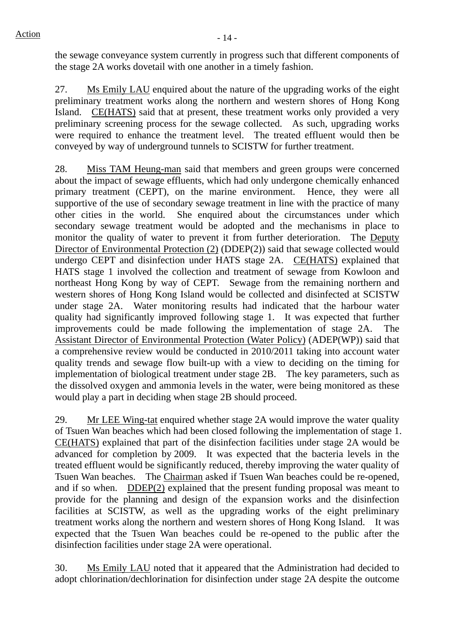the sewage conveyance system currently in progress such that different components of the stage 2A works dovetail with one another in a timely fashion.

27. Ms Emily LAU enquired about the nature of the upgrading works of the eight preliminary treatment works along the northern and western shores of Hong Kong Island. CE(HATS) said that at present, these treatment works only provided a very preliminary screening process for the sewage collected. As such, upgrading works were required to enhance the treatment level. The treated effluent would then be conveyed by way of underground tunnels to SCISTW for further treatment.

28. Miss TAM Heung-man said that members and green groups were concerned about the impact of sewage effluents, which had only undergone chemically enhanced primary treatment (CEPT), on the marine environment. Hence, they were all supportive of the use of secondary sewage treatment in line with the practice of many other cities in the world. She enquired about the circumstances under which secondary sewage treatment would be adopted and the mechanisms in place to monitor the quality of water to prevent it from further deterioration. The Deputy Director of Environmental Protection (2) (DDEP(2)) said that sewage collected would undergo CEPT and disinfection under HATS stage 2A. CE(HATS) explained that HATS stage 1 involved the collection and treatment of sewage from Kowloon and northeast Hong Kong by way of CEPT. Sewage from the remaining northern and western shores of Hong Kong Island would be collected and disinfected at SCISTW under stage 2A. Water monitoring results had indicated that the harbour water quality had significantly improved following stage 1. It was expected that further improvements could be made following the implementation of stage 2A. The Assistant Director of Environmental Protection (Water Policy) (ADEP(WP)) said that a comprehensive review would be conducted in 2010/2011 taking into account water quality trends and sewage flow built-up with a view to deciding on the timing for implementation of biological treatment under stage 2B. The key parameters, such as the dissolved oxygen and ammonia levels in the water, were being monitored as these would play a part in deciding when stage 2B should proceed.

29. Mr LEE Wing-tat enquired whether stage 2A would improve the water quality of Tsuen Wan beaches which had been closed following the implementation of stage 1. CE(HATS) explained that part of the disinfection facilities under stage 2A would be advanced for completion by 2009. It was expected that the bacteria levels in the treated effluent would be significantly reduced, thereby improving the water quality of Tsuen Wan beaches. The Chairman asked if Tsuen Wan beaches could be re-opened, and if so when. DDEP(2) explained that the present funding proposal was meant to provide for the planning and design of the expansion works and the disinfection facilities at SCISTW, as well as the upgrading works of the eight preliminary treatment works along the northern and western shores of Hong Kong Island. It was expected that the Tsuen Wan beaches could be re-opened to the public after the disinfection facilities under stage 2A were operational.

30. Ms Emily LAU noted that it appeared that the Administration had decided to adopt chlorination/dechlorination for disinfection under stage 2A despite the outcome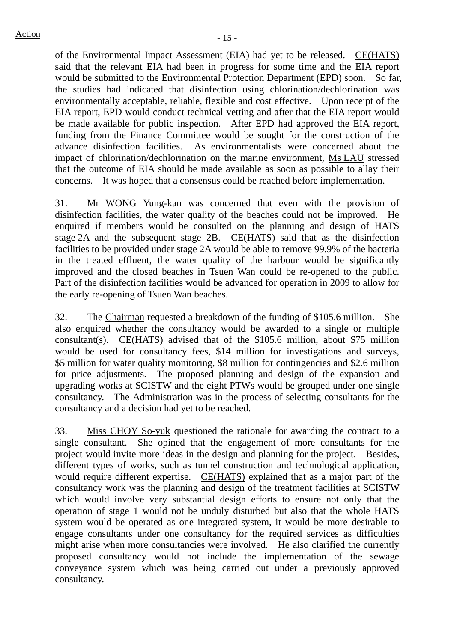of the Environmental Impact Assessment (EIA) had yet to be released. CE(HATS) said that the relevant EIA had been in progress for some time and the EIA report would be submitted to the Environmental Protection Department (EPD) soon. So far, the studies had indicated that disinfection using chlorination/dechlorination was environmentally acceptable, reliable, flexible and cost effective. Upon receipt of the EIA report, EPD would conduct technical vetting and after that the EIA report would be made available for public inspection. After EPD had approved the EIA report, funding from the Finance Committee would be sought for the construction of the advance disinfection facilities. As environmentalists were concerned about the impact of chlorination/dechlorination on the marine environment, Ms LAU stressed that the outcome of EIA should be made available as soon as possible to allay their concerns. It was hoped that a consensus could be reached before implementation.

31. Mr WONG Yung-kan was concerned that even with the provision of disinfection facilities, the water quality of the beaches could not be improved. He enquired if members would be consulted on the planning and design of HATS stage 2A and the subsequent stage 2B. CE(HATS) said that as the disinfection facilities to be provided under stage 2A would be able to remove 99.9% of the bacteria in the treated effluent, the water quality of the harbour would be significantly improved and the closed beaches in Tsuen Wan could be re-opened to the public. Part of the disinfection facilities would be advanced for operation in 2009 to allow for the early re-opening of Tsuen Wan beaches.

32. The Chairman requested a breakdown of the funding of \$105.6 million. She also enquired whether the consultancy would be awarded to a single or multiple consultant(s). CE(HATS) advised that of the \$105.6 million, about \$75 million would be used for consultancy fees, \$14 million for investigations and surveys, \$5 million for water quality monitoring, \$8 million for contingencies and \$2.6 million for price adjustments. The proposed planning and design of the expansion and upgrading works at SCISTW and the eight PTWs would be grouped under one single consultancy. The Administration was in the process of selecting consultants for the consultancy and a decision had yet to be reached.

33. Miss CHOY So-yuk questioned the rationale for awarding the contract to a single consultant. She opined that the engagement of more consultants for the project would invite more ideas in the design and planning for the project. Besides, different types of works, such as tunnel construction and technological application, would require different expertise. CE(HATS) explained that as a major part of the consultancy work was the planning and design of the treatment facilities at SCISTW which would involve very substantial design efforts to ensure not only that the operation of stage 1 would not be unduly disturbed but also that the whole HATS system would be operated as one integrated system, it would be more desirable to engage consultants under one consultancy for the required services as difficulties might arise when more consultancies were involved. He also clarified the currently proposed consultancy would not include the implementation of the sewage conveyance system which was being carried out under a previously approved consultancy.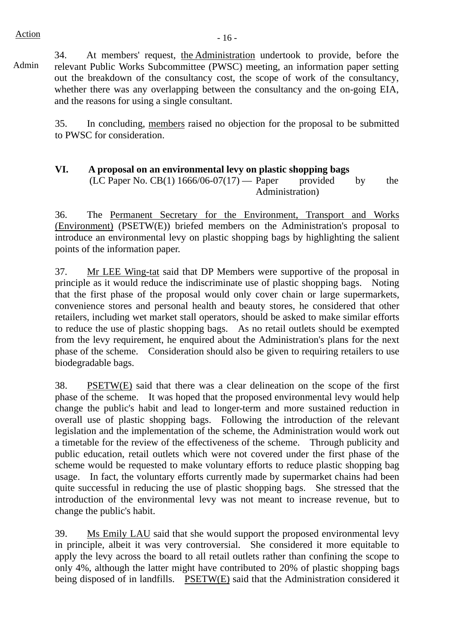# $Action$   $-16$  -

Admin

34. At members' request, the Administration undertook to provide, before the relevant Public Works Subcommittee (PWSC) meeting, an information paper setting out the breakdown of the consultancy cost, the scope of work of the consultancy, whether there was any overlapping between the consultancy and the on-going EIA, and the reasons for using a single consultant.

35. In concluding, members raised no objection for the proposal to be submitted to PWSC for consideration.

# **VI. A proposal on an environmental levy on plastic shopping bags**

 $(LC$  Paper No.  $CB(1)$  1666/06-07(17) — Paper provided by the Administration)

36. The Permanent Secretary for the Environment, Transport and Works (Environment) (PSETW(E)) briefed members on the Administration's proposal to introduce an environmental levy on plastic shopping bags by highlighting the salient points of the information paper.

37. Mr LEE Wing-tat said that DP Members were supportive of the proposal in principle as it would reduce the indiscriminate use of plastic shopping bags. Noting that the first phase of the proposal would only cover chain or large supermarkets, convenience stores and personal health and beauty stores, he considered that other retailers, including wet market stall operators, should be asked to make similar efforts to reduce the use of plastic shopping bags. As no retail outlets should be exempted from the levy requirement, he enquired about the Administration's plans for the next phase of the scheme. Consideration should also be given to requiring retailers to use biodegradable bags.

38. PSETW(E) said that there was a clear delineation on the scope of the first phase of the scheme. It was hoped that the proposed environmental levy would help change the public's habit and lead to longer-term and more sustained reduction in overall use of plastic shopping bags. Following the introduction of the relevant legislation and the implementation of the scheme, the Administration would work out a timetable for the review of the effectiveness of the scheme. Through publicity and public education, retail outlets which were not covered under the first phase of the scheme would be requested to make voluntary efforts to reduce plastic shopping bag usage. In fact, the voluntary efforts currently made by supermarket chains had been quite successful in reducing the use of plastic shopping bags. She stressed that the introduction of the environmental levy was not meant to increase revenue, but to change the public's habit.

39. Ms Emily LAU said that she would support the proposed environmental levy in principle, albeit it was very controversial. She considered it more equitable to apply the levy across the board to all retail outlets rather than confining the scope to only 4%, although the latter might have contributed to 20% of plastic shopping bags being disposed of in landfills. PSETW(E) said that the Administration considered it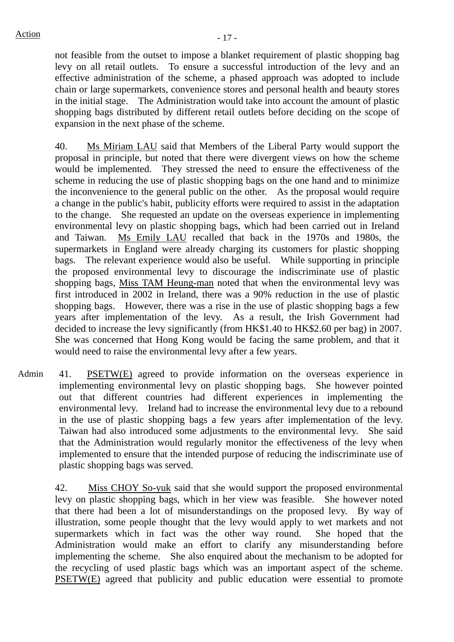not feasible from the outset to impose a blanket requirement of plastic shopping bag levy on all retail outlets. To ensure a successful introduction of the levy and an effective administration of the scheme, a phased approach was adopted to include chain or large supermarkets, convenience stores and personal health and beauty stores in the initial stage. The Administration would take into account the amount of plastic shopping bags distributed by different retail outlets before deciding on the scope of expansion in the next phase of the scheme.

40. Ms Miriam LAU said that Members of the Liberal Party would support the proposal in principle, but noted that there were divergent views on how the scheme would be implemented. They stressed the need to ensure the effectiveness of the scheme in reducing the use of plastic shopping bags on the one hand and to minimize the inconvenience to the general public on the other. As the proposal would require a change in the public's habit, publicity efforts were required to assist in the adaptation to the change. She requested an update on the overseas experience in implementing environmental levy on plastic shopping bags, which had been carried out in Ireland and Taiwan. Ms Emily LAU recalled that back in the 1970s and 1980s, the supermarkets in England were already charging its customers for plastic shopping bags. The relevant experience would also be useful. While supporting in principle the proposed environmental levy to discourage the indiscriminate use of plastic shopping bags, Miss TAM Heung-man noted that when the environmental levy was first introduced in 2002 in Ireland, there was a 90% reduction in the use of plastic shopping bags. However, there was a rise in the use of plastic shopping bags a few years after implementation of the levy. As a result, the Irish Government had decided to increase the levy significantly (from HK\$1.40 to HK\$2.60 per bag) in 2007. She was concerned that Hong Kong would be facing the same problem, and that it would need to raise the environmental levy after a few years.

Admin 41. PSETW(E) agreed to provide information on the overseas experience in implementing environmental levy on plastic shopping bags. She however pointed out that different countries had different experiences in implementing the environmental levy. Ireland had to increase the environmental levy due to a rebound in the use of plastic shopping bags a few years after implementation of the levy. Taiwan had also introduced some adjustments to the environmental levy. She said that the Administration would regularly monitor the effectiveness of the levy when implemented to ensure that the intended purpose of reducing the indiscriminate use of plastic shopping bags was served.

 42. Miss CHOY So-yuk said that she would support the proposed environmental levy on plastic shopping bags, which in her view was feasible. She however noted that there had been a lot of misunderstandings on the proposed levy. By way of illustration, some people thought that the levy would apply to wet markets and not supermarkets which in fact was the other way round. She hoped that the Administration would make an effort to clarify any misunderstanding before implementing the scheme. She also enquired about the mechanism to be adopted for the recycling of used plastic bags which was an important aspect of the scheme. PSETW(E) agreed that publicity and public education were essential to promote